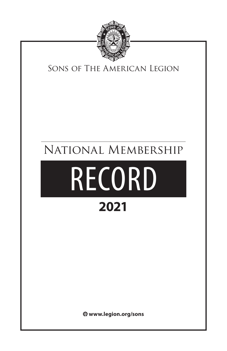

## Sons of The American Legion

# National Membership

# RECORD **2021**

 **www.legion.org/sons**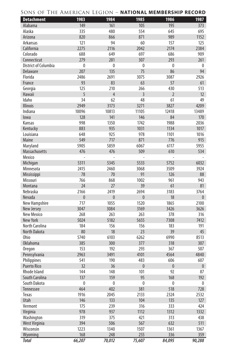| SONS OF THE AMERICAN LEGION – <b>National Membership Record</b> |  |  |
|-----------------------------------------------------------------|--|--|
|-----------------------------------------------------------------|--|--|

| <b>Detachment</b>    | 1983      | 1984           | 1985           | 1986           | 1987         |
|----------------------|-----------|----------------|----------------|----------------|--------------|
| Alabama              | 149       | 161            | 105            | 195            | 373          |
| Alaska               | 335       | 480            | 554            | 645            | 695          |
| Arizona              | 820       | 866            | 871            | 989            | 1152         |
| Arkansas             | 121       | 94             | 60             | 157            | 125          |
| California           | 2275      | 2116           | 2042           | 2174           | 2384         |
| Colorado             | 688       | 649            | 697            | 686            | 909          |
| Connecticut          | 279       | 281            | 307            | 293            | 261          |
| District of Columbia | 0         | $\mathbf{0}$   | $\mathbf{0}$   | 0              | 0            |
| Delaware             | 207       | 135            | 75             | 86             | 94           |
| Florida              | 2486      | 2691           | 3075           | 3087           | 2926         |
| France               | 93        | 83             | 63             | 57             | 61           |
| Georgia              | 125       | 210            | 266            | 430            | 513          |
| Hawaii               | 5         | $\overline{4}$ | $\overline{3}$ | $\overline{2}$ | 12           |
| Idaho                | 34        | 62             | 48             | 61             | 49           |
| <b>Illinois</b>      | 2949      | 3173           | 3271           | 3827           | 4209         |
| Indiana              | 10096     | 10813          | 11105          | 12418          | 13489        |
| lowa                 | 128       | 141            | 146            | 84             | 170          |
| Kansas               | 998       | 1350           | 1742           | 1988           | 2036         |
| Kentucky             | 883       | 935            | 1031           | 1134           | 1017         |
| Louisiana            | 648       | 925            | 978            | 1101           | 1016         |
| Maine                | 549       | 717            | 871            | 776            | 915          |
| Maryland             | 5905      | 5859           | 6067           | 6117           | 5955         |
| <b>Massachusetts</b> | 476       | 476            | 509            | 610            | 534          |
| Mexico               |           |                |                |                |              |
| Michigan             | 5311      | 5345           | 5533           | 5752           | 6032         |
| Minnesota            | 2415      | 2460           | 3068           | 3509           | 3924         |
| Mississippi          | 78        | 70             | 91             | 126            | 88           |
| Missouri             | 766       | 868            | 1002           | 961            | 943          |
| Montana              | 24        | 27             | 39             | 61             | 81           |
| Nebraska             | 2166      | 2419           | 2694           | 3183           | 3764         |
| Nevada               | $\pmb{0}$ | $\pmb{0}$      | $\mathbf{0}$   | 18             | $\mathbf{0}$ |
| New Hampshire        | 717       | 1055           | 1520           | 1865           | 2100         |
| New Jersey           | 3047      | 3084           | 3169           | 3426           | 3626         |
| New Mexico           | 268       | 263            | 263            | 378            | 316          |
| <b>New York</b>      | 5024      | 5182           | 5655           | 7308           | 7412         |
| North Carolina       | 184       | 156            | 156            | 183            | 191          |
| North Dakota         | 80        | 18             | 23             | 39             | 45           |
| Ohio                 | 5740      | 6103           | 6262           | 6990           | 8513         |
| <b>Oklahoma</b>      | 385       | 300            | 377            | 318            | 307          |
| <b>Oregon</b>        | 153       | 192            | 293            | 367            | 507          |
| Pennsylvania         | 2963      | 3491           | 4101           | 4564           | 4840         |
| Philippines          | 541       | 190            | 483            | 606            | 607          |
| <b>Puerto Rico</b>   | 32        | 36             | $\pmb{0}$      | $\pmb{0}$      | $\mathbf{0}$ |
| Rhode Island         | 144       | 148            | 101            | 92             | 87           |
| South Carolina       | 137       | 159            | 95             | 168            | 192          |
| South Dakota         | $\pmb{0}$ | $\pmb{0}$      | 0              | 0              | $\pmb{0}$    |
| Tennessee            | 464       | 402            | 381            | 518            | 728          |
| Texas                | 1916      | 2045           | 2133           | 2324           | 2532         |
| Utah                 | 146       | 133            | 104            | 135            | 127          |
| Vermont              | 175       | 239            | 316            | 333            | 424          |
| Virginia             | 978       | 937            | 1112           | 1312           | 1332         |
| Washington           | 319       | 375            | 421            | 313            | 438          |
| West Virginia        | 394       | 506            | 567            | 632            | 511          |
| Wisconsin            | 1223      | 1340           | 1507           | 1361           | 1367         |
| Wyoming              | 168       | 248            | 255            | 336            | 359          |
| <b>Total</b>         | 66,207    | 70,012         | 75,607         | 84,095         | 90,288       |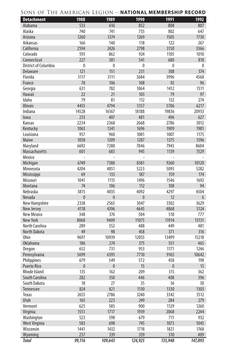| SONS OF THE AMERICAN LEGION – <b>National Membership Record</b> |  |  |
|-----------------------------------------------------------------|--|--|
|-----------------------------------------------------------------|--|--|

| <b>Detachment</b>           | 1988         | 1989         | 1990         | 1991         | 1992    |
|-----------------------------|--------------|--------------|--------------|--------------|---------|
| Alabama                     | 533          | 616          | 852          | 808          | 807     |
| Alaska                      | 740          | 741          | 735          | 802          | 647     |
| Arizona                     | 1260         | 1374         | 1269         | 1505         | 1730    |
| Arkansas                    | 166          | 140          | 118          | 122          | 267     |
| California                  | 2594         | 2426         | 2798         | 3150         | 3366    |
| Colorado                    | 593          | 862          | 924          | 1105         | 1010    |
| Connecticut                 | 227          | 381          | 541          | 680          | 818     |
| <b>District of Columbia</b> | $\mathbf{0}$ | $\mathbf 0$  | $\mathbf{0}$ | $\mathbf{0}$ | 0       |
| Delaware                    | 121          | 151          | 231          | 308          | 374     |
| Florida                     | 3117         | 3111         | 3684         | 3996         | 4568    |
| France                      | 78           | 106          | 108          | 92           | 96      |
| Georgia                     | 631          | 782          | 1064         | 1412         | 1511    |
| Hawaii                      | 22           | 21           | 103          | 79           | 97      |
| Idaho                       | 79           | 81           | 112          | 132          | 274     |
| Illinois                    | 4455         | 4794         | 5157         | 5706         | 6217    |
| Indiana                     | 14528        | 16167        | 18188        | 19836        | 20933   |
| lowa                        | 233          | 407          | 481          | 496          | 627     |
| Kansas                      | 2234         | 2368         | 2668         | 2786         | 3012    |
| Kentucky                    | 1063         | 1341         | 1696         | 1909         | 1981    |
| Louisiana                   | 957          | 960          | 1081         | 1007         | 1175    |
| Maine                       | 1058         | 1209         | 1287         | 1375         | 1596    |
| Maryland                    | 6692         | 7280         | 7846         | 7943         | 8604    |
| Massachusetts               | 601          | 683          | 945          | 1139         | 1529    |
| Mexico                      |              |              |              |              |         |
| Michigan                    | 6749         | 7380         | 8381         | 9260         | 10120   |
| Minnesota                   | 4204         | 4851         | 5223         | 5093         | 5282    |
| Mississippi                 | 69           | 133          | 187          | 159          | 174     |
| Missouri                    | 1041         | 1115         | 1496         | 1546         | 1692    |
| Montana                     | 74           | 106          | 112          | 108          | 94      |
| Nebraska                    | 3815         | 4035         | 4092         | 4297         | 4504    |
| Nevada                      | $\mathbf{0}$ | $\mathbf{0}$ | $\mathbf{0}$ | 12           | 6       |
| New Hampshire               | 2338         | 2565         | 3047         | 3302         | 3629    |
| New Jersey                  | 4118         | 4396         | 4645         | 4868         | 5124    |
| New Mexico                  | 348          | 376          | 504          | 510          | 777     |
| <b>New York</b>             | 8068         | 9409         | 11075        | 11914        | 13131   |
| North Carolina              | 289          | 552          | 488          | 449          | 481     |
| North Dakota                | 49           | 98           | 458          | 371          | 316     |
| Ohio                        | 9697         | 10939        | 12055        | 13499        | 15218   |
| <b>Oklahoma</b>             | 186          | 274          | 375          | 551          | 465     |
| Oregon                      | 652          | 731          | 953          | 1171         | 1246    |
| Pennsylvania                | 5699         | 6395         | 7710         | 9165         | 10642   |
| Philippines                 | 679          | 549          | 572          | 458          | 198     |
| <b>Puerto Rico</b>          | $\pmb{0}$    | 0            | 15           | $\mathbf{0}$ | 15      |
| Rhode Island                | 135          | 162          | 209          | 315          | 362     |
| South Carolina              | 282          | 350          | 446          | 408          | 396     |
| South Dakota                | 18           | 27           | 35           | 36           | 30      |
| Tennessee                   | 824          | 821          | 1130         | 1330         | 1303    |
| Texas                       | 2655         | 2786         | 3240         | 3342         | 3512    |
| Utah                        | 165          | 223          | 249          | 284          | 279     |
| Vermont                     | 625          | 585          | 900          | 1129         | 1260    |
| Virginia                    | 1551         | 1717         | 1939         | 2068         | 2244    |
| Washington                  | 523          | 598          | 679          | 711          | 932     |
| West Virginia               | 583          | 698          | 745          | 1073         | 1045    |
| Wisconsin                   | 1441         | 1432         | 1718         | 1821         | 1768    |
| Wyoming                     | 257          | 339          | 359          | 310          | 409     |
| <b>Total</b>                | 99,116       | 109,643      |              |              | 147,893 |
|                             |              |              | 124,925      | 135,948      |         |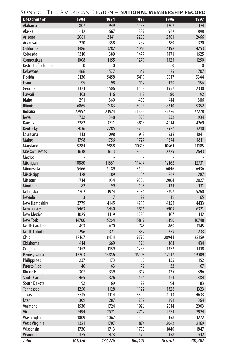| <b>Detachment</b>           | 1993           | 1994    | 1995    | 1996    | 1997    |
|-----------------------------|----------------|---------|---------|---------|---------|
| Alabama                     | 807            | 949     | 1153    | 1207    | 1174    |
| Alaska                      | 612            | 667     | 887     | 942     | 898     |
| Arizona                     | 2061           | 2141    | 2283    | 2301    | 2466    |
| Arkansas                    | 220            | 358     | 282     | 289     | 320     |
| California                  | 3486           | 3782    | 4061    | 4198    | 4253    |
| Colorado                    | 1310           | 1389    | 1477    | 1471    | 1625    |
| Connecticut                 | 1008           | 1155    | 1279    | 1323    | 1250    |
| <b>District of Columbia</b> | 0              | 0       | 0       | 0       | 0       |
| Delaware                    | 466            | 577     | 647     | 635     | 707     |
| Florida                     | 5130           | 5458    | 5419    | 5517    | 5844    |
| France                      | 95             | 98      | 112     | 129     | 156     |
| Georgia                     | 1373           | 1606    | 1608    | 1957    | 2330    |
| Hawaii                      | 103            | 116     | 117     | 80      | 92      |
| Idaho                       | 291            | 360     | 400     | 414     | 386     |
| <b>Illinois</b>             | 6865           | 7483    | 8004    | 8610    | 9352    |
| Indiana                     | 22997          | 23924   | 24883   | 25776   | 27278   |
| lowa                        | 732            | 848     | 858     | 932     | 934     |
| Kansas                      | 3282           | 3711    | 3813    | 4014    | 4269    |
| Kentucky                    | 2036           | 2285    | 2700    | 2927    | 3210    |
| Louisiana                   | 1113           | 1098    | 917     | 938     | 1041    |
| <b>Maine</b>                | 1798           | 1756    | 1727    | 1874    | 1811    |
| Maryland                    | 9284           | 9858    | 10318   | 10564   | 11185   |
| <b>Massachusetts</b>        | 1638           | 1613    | 2060    | 2229    | 2643    |
| Mexico                      |                |         |         |         |         |
| Michigan                    | 10880          | 11551   | 11494   | 12162   | 12731   |
| Minnesota                   | 5466           | 5489    | 5609    | 6046    | 6436    |
| Mississippi                 | 128            | 189     | 154     | 242     | 287     |
| Missouri                    | 1714           | 1934    | 2006    | 2064    | 2027    |
| Montana                     | 82             | 99      | 105     | 134     | 131     |
| Nebraska                    | 4702           | 4974    | 5084    | 5397    | 5260    |
| Nevada                      | $\overline{3}$ | 17      | 27      | 19      | 65      |
| New Hampshire               | 3779           | 4145    | 4288    | 4358    | 4433    |
| New Jersey                  | 5463           | 5430    | 5816    | 5909    | 6321    |
| New Mexico                  | 1025           | 1119    | 1220    | 1107    | 1112    |
| <b>New York</b>             | 14706          | 15264   | 15819   | 16190   | 16748   |
| North Carolina              | 493            | 670     | 745     | 869     | 1145    |
| <b>North Dakota</b>         | 296            | 321     | 332     | 259     | 233     |
| Ohio                        | 17167          | 18434   | 19795   | 20944   | 22159   |
| <b>Oklahoma</b>             | 414            | 669     | 396     | 363     | 434     |
| <b>Oregon</b>               | 1152           | 1159    | 1233    | 1372    | 1418    |
| Pennsylvania                | 12203          | 13856   | 15193   | 17117   | 19009   |
| Philippines                 | 237            | 173     | 160     | 135     | 152     |
| <b>Puerto Rico</b>          | 46             | 63      | 72      | 32      | 67      |
| Rhode Island                | 307            | 359     | 317     | 325     | 396     |
| South Carolina              | 465            | 326     | 464     | 421     | 384     |
| South Dakota                | 92             | 69      | 27      | 94      | 83      |
| Tennessee                   | 1250           | 1128    | 1122    | 1328    | 1323    |
| Texas                       | 3745           | 4114    | 3890    | 4013    | 4633    |
| Utah                        | 309            | 287     | 287     | 291     | 364     |
| Vermont                     | 1530           | 1724    | 1926    | 2014    | 2003    |
| Virginia                    | 2494           | 2521    | 2712    | 2671    | 2924    |
| Washington                  | 1009           | 1067    | 1100    | 1158    | 1272    |
| West Virginia               | 1321           | 1707    | 1874    | 2042    | 2169    |
| Wisconsin                   | 1736           | 1713    | 1750    | 1840    | 1847    |
| Wyoming                     | 455            | 473     | 479     | 458     | 512     |
| <b>Total</b>                | 161,376        | 172,276 | 180,501 | 189,701 | 201,302 |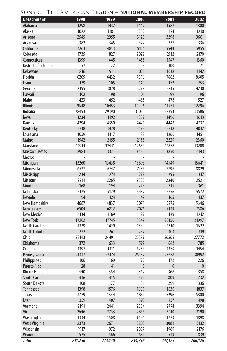| <b>Detachment</b>              | 1998        | 1999        | 2000                  | 2001                | 2002                |
|--------------------------------|-------------|-------------|-----------------------|---------------------|---------------------|
| Alabama                        | 1298        | 1437        | 1447                  | 1587                | 1800                |
| Alaska                         | 1022        | 1181        | 1252                  | 1174                | 1210                |
| Arizona                        | 2545        | 2955        | 3128                  | 3298                | 3661                |
| Arkansas                       | 382         | 345         | 322                   | 337                 | 336                 |
| California                     | 4263        | 4813        | 5114                  | 5544                | 5955                |
| Colorado                       | 1735        | 1827        | 2022                  | 2112                | 2170                |
| Connecticut                    | 1399        | 1445        | 1438                  | 1547                | 1360                |
| District of Columbia           | 57          | 77          | 105                   | 100                 | 71                  |
| Delaware                       | 816         | 911         | 1021                  | 1038                | 1142                |
| Florida                        | 6209        | 6432        | 7096                  | 7662                | 8605                |
| France                         | 139         | 105         | 140                   | 172                 | 253                 |
| Georgia                        | 2395        | 3078        | 3279                  | 3715                | 4230                |
| Hawaii                         | 102         | 98          | 101                   | 99                  | 96                  |
| Idaho                          | 423         | 452         | 485                   | 478                 | 527                 |
| <b>Illinois</b>                | 9648        | 10453       | 10996                 | 11571               | 12296               |
| Indiana                        | 28493       | 29390       | 31035                 | 32393               | 33686               |
| lowa                           | 1234        | 1192        | 1309                  | 1496                | 1613                |
| Kansas                         | 4294        | 4350        | 4421                  | 4442                | 4737                |
| Kentucky                       | 3318        | 3478        | 3598                  | 3718                | 4037                |
| Louisiana                      | 1059        | 1117        | 1188                  | 1266                | 1451                |
| Maine                          | 1942        | 2155        | 2153                  | 2229                | 2360                |
| Maryland                       | 11914       | 12441       | 12634                 | 12878               | 13208               |
| <b>Massachusetts</b>           | 2983        | 3371        | 3480                  | 3850                | 4143                |
| Mexico                         | ÷           | ÷           |                       |                     |                     |
| Michigan                       | 13260       | 13438       | 13893                 | 14549               | 15641               |
| Minnesota                      | 6537        | 6747        | 7435                  | 7796                | 8829                |
| Mississippi                    | 234         | 274         | 279                   | 295                 | 317                 |
| Missouri                       | 2211        | 2265        | 2305                  | 2340                | 2521                |
| Montana                        | 168         | 194         | 273                   | 315                 | 361                 |
| Nebraska                       | 5135        | 5129        | 5432                  | 5376                | 5572                |
| Nevada                         | 94          | 124         | 147                   | 165                 | 137                 |
| New Hampshire                  | 4687        | 4837        | 5071                  | 5275                | 5646                |
| New Jersey                     | 6504        | 6812        | 7076                  | 7149                | 7586                |
| New Mexico                     | 1134        | 1169        | 1197                  | 1139                | 1212                |
| <b>New York</b>                | 17202       | 17745       | 18847                 | 20150               | 21997               |
| North Carolina                 | 1339        | 1429        | 1589                  | 1610                | 1622                |
| <b>North Dakota</b>            | 232         | 261         | 257                   | 303                 | 319                 |
| 0hio                           | 23143       | 24491       | 25379                 | 26568               | 27772               |
| <b>Oklahoma</b>                | 372         | 633         | 597                   | 642                 | 785                 |
| <b>Oregon</b>                  | 1397        | 1411        | 1254                  | 1379                | 1454                |
| Pennsylvania                   | 21347       | 23174       | 25132                 | 27278               | 30992               |
| Philippines                    | 106<br>28   | 169<br>41   | 190<br>$\overline{0}$ | 172<br>$\mathbf{0}$ | 226                 |
| <b>Puerto Rico</b>             | 440         |             |                       |                     | $\mathbf{0}$<br>358 |
| Rhode Island                   |             | 384         | 362                   | 368                 |                     |
| South Carolina<br>South Dakota | 436         | 415         | 471                   | 809                 | 732                 |
|                                | 108<br>1398 | 177<br>1576 | 181                   | 299                 | 336                 |
| Tennessee<br>Texas             | 4729        | 4844        | 1689<br>4831          | 1630<br>5296        | 1837<br>5800        |
| Utah                           | 359         | 407         | 393                   | 437                 | 498                 |
| Vermont                        | 2191        | 2441        | 2584                  | 2774                | 3394                |
| Virginia                       | 2646        | 2733        | 2855                  |                     | 3190                |
| Washington                     | 1334        | 1508        | 1464                  | 3010<br>1723        | 1898                |
| West Virginia                  | 2373        | 2671        | 3203                  | 3088                | 3132                |
| Wisconsin                      | 1917        | 1972        | 2057                  | 1989                | 2176                |
| Wyoming                        | 525         | 566         | 531                   | 549                 | 839                 |
| <b>Total</b>                   |             |             |                       |                     |                     |
|                                | 211,256     | 223,140     | 234,738               | 247,179             | 266,126             |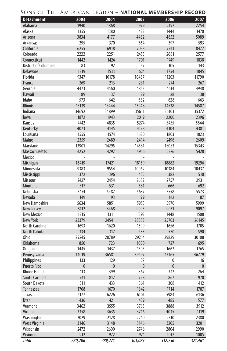| <b>Detachment</b>           | 2003         | 2004      | 2005         | 2006         | 2007      |
|-----------------------------|--------------|-----------|--------------|--------------|-----------|
| Alabama                     | 1940         | 1868      | 1979         | 2192         | 2254      |
| Alaska                      | 1355         | 1380      | 1422         | 1444         | 1470      |
| Arizona                     | 3834         | 4177      | 4482         | 4852         | 5089      |
| Arkansas                    | 295          | 370       | 364          | 397          | 593       |
| California                  | 6255         | 6918      | 7038         | 7911         | 8477      |
| Colorado                    | 2222         | 2251      | 2455         | 2681         | 2577      |
| Connecticut                 | 1442         | 1424      | 1701         | 1749         | 1838      |
| <b>District of Columbia</b> | 83           | 92        | 57           | 105          | 143       |
| Delaware                    | 1319         | 1533      | 1624         | 1754         | 1845      |
| Florida                     | 9347         | 10178     | 10487        | 11203        | 11790     |
| France                      | 269          | 213       | 231          | 274          | 267       |
| Georgia                     | 4473         | 4560      | 4853         | 4614         | 4948      |
| Hawaii                      | 89           | 37        | 29           | 28           | 38        |
| Idaho                       | 573          | 642       | 582          | 628          | 663       |
| <b>Illinois</b>             | 13139        | 13444     | 13948        | 14538        | 14587     |
| Indiana                     | 34692        | 34899     | 35611        | 36103        | 35372     |
| lowa                        | 1872         | 1943      | 2019         | 2200         | 2396      |
| Kansas                      | 4742         | 4835      | 5274         | 5455         | 5844      |
| Kentucky                    | 4073         | 4145      | 4198         | 4304         | 4381      |
| Louisiana                   | 1555         | 1574      | 1630         | 1803         | 1823      |
| Maine                       | 2359         | 2489      | 2494         | 2496         | 2609      |
| Maryland                    | 13901        | 14295     | 14581        | 15053        | 15343     |
| <b>Massachusetts</b>        | 4252         | 4297      | 4916         | 5276         | 5428      |
| Mexico                      |              |           |              |              |           |
| Michigan                    | 16419        | 17421     | 18159        | 18882        | 19296     |
| Minnesota                   | 9383         | 9554      | 10062        | 10384        | 10437     |
| Mississippi                 | 372          | 396       | 455          | 382          | 510       |
| Missouri                    | 2427         | 2454      | 2682         | 2757         | 2931      |
| Montana                     | 517          | 531       | 581          | 666          | 692       |
| Nebraska                    | 5474         | 5487      | 5637         | 5558         | 5573      |
| Nevada                      | 149          | 93        | 99           | 142          | 87        |
| New Hampshire               | 5634         | 5851      | 5955         | 5970         | 5999      |
| New Jersey                  | 8112         | 8468      | 9095         | 9031         | 9097      |
| New Mexico                  | 1315         | 1311      | 1392         | 1448         | 1508      |
| <b>New York</b>             | 23379        | 24541     | 25383        | 25703        | 26145     |
| North Carolina              | 1693         | 1620      | 1599         | 1656         | 1705      |
| North Dakota                | 334          | 317       | 433          | 570          | 590       |
| Ohio                        | 29245        | 28789     | 29214        | 29829        | 30108     |
| <b>Oklahoma</b>             | 850          | 723       | 1000         | 727          | 695       |
| <b>Oregon</b>               | 1445         | 1437      | 1505         | 1662         | 1765      |
| Pennsylvania                | 34019        | 36581     | 39497        | 43365        | 46779     |
| Philippines                 | 133          | 129       | 37           | 0            | 16        |
| <b>Puerto Rico</b>          | $\mathbf{0}$ | $\pmb{0}$ | $\mathbf{0}$ | $\mathbf{0}$ | $\pmb{0}$ |
| Rhode Island                | 413          | 399       | 367          | 342          | 264       |
| South Carolina              | 741          | 817       | 798          | 867          | 970       |
| South Dakota                | 311          | 433       | 361          | 308          | 412       |
| Tennessee                   | 1768         | 1670      | 1642         | 1714         | 1787      |
| Texas                       | 6177         | 6226      | 6101         | 5984         | 6136      |
| Utah                        | 436          | 421       | 439          | 485          | 577       |
| Vermont                     | 3462         | 3555      | 3763         | 3888         | 3912      |
| Virginia                    | 3358         | 3635      | 3746         | 4045         | 4119      |
| Washington                  | 2029         | 2128      | 2240         | 2310         | 2380      |
| West Virginia               | 3146         | 3148      | 3146         | 3205         | 3201      |
| Wisconsin                   | 2472         | 2600      | 2746         | 2804         | 2990      |
| Wyoming                     | 912          | 972       | 974          | 1012         | 1005      |
| <b>Total</b>                | 280,206      | 289,271   | 301,083      | 312,756      | 321,461   |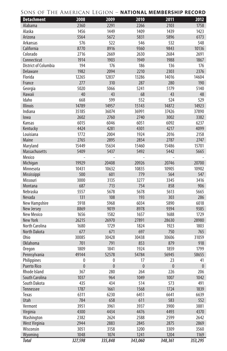| <b>Detachment</b>    | 2008           | 2009           | 2010           | 2011         | 2012      |
|----------------------|----------------|----------------|----------------|--------------|-----------|
| Alabama              | 2360           | 2291           | 2266           | 2103         | 1758      |
| Alaska               | 1456           | 1449           | 1409           | 1439         | 1423      |
| Arizona              | 5564           | 5672           | 5831           | 5896         | 6173      |
| Arkansas             | 576            | 522            | 546            | 532          | 548       |
| California           | 8770           | 8916           | 9360           | 9843         | 10136     |
| Colorado             | 2716           | 2669           | 2630           | 2684         | 2691      |
| Connecticut          | 1914           | 1903           | 1949           | 1988         | 1867      |
| District of Columbia | 194            | 176            | 186            | 136          | 176       |
| Delaware             | 1982           | 2094           | 2210           | 2303         | 2376      |
| Florida              | 12265          | 12837          | 13286          | 14016        | 14604     |
| France               | 277            | 310            | 287            | 280          | 190       |
| Georgia              | 5020           | 5066           | 5241           | 5179         | 5140      |
| <b>Hawaii</b>        | 40             | 43             | 68             | 43           | 48        |
| Idaho                | 668            | 599            | 552            | 524          | 529       |
| <b>Illinois</b>      | 14789          | 14957          | 15143          | 14872        | 14923     |
| Indiana              | 35185          | 36074          | 36991          | 37426        | 37890     |
| lowa                 | 2602           | 2760           | 2740           | 3002         | 3382      |
| Kansas               | 6015           | 6046           | 6051           | 6092         | 6237      |
| Kentucky             | 4424           | 4281           | 4301           | 4217         | 4099      |
| Louisiana            | 1772           | 2004           | 1924           | 2016         | 2158      |
| Maine                | 2765           | 2895           | 2854           | 2787         | 2747      |
| Maryland             | 15449          | 15634          | 15460          | 15486        | 15701     |
| Massachusetts        | 5409           | 5437           | 5492           | 5442         | 5665      |
| Mexico               | ÷,             | ÷              | ÷,             |              |           |
| Michigan             | 19929          | 20408          | 20926          | 20746        | 20700     |
| Minnesota            | 10431          | 10632          | 10835          | 10905        | 10902     |
| Mississippi          | 500            | 601            | 779            | 564          | 547       |
| Missouri             | 3000           | 3135           | 3277           | 3345         | 3416      |
| Montana              | 687            | 713            | 754            | 858          | 906       |
| Nebraska             | 5557           | 5678           | 5678           | 5613         | 5665      |
| Nevada               | 131            | 108            | 193            | 303          | 286       |
| New Hampshire        | 5918           | 5968           | 6034           | 5890         | 6018      |
| New Jersey           | 8869           | 9019           | 8978           | 9394         | 9385      |
| New Mexico           | 1656           | 1582           | 1657           | 1688         | 1729      |
| <b>New York</b>      | 26215          | 26970          | 27891          | 28630        | 28980     |
| North Carolina       | 1680           | 1729           | 1824           | 1923         | 1803      |
| <b>North Dakota</b>  | 677            | 671            | 697            | 750          | 765       |
| Ohio                 | 30085          | 30428          | 30438          | 30606        | 31059     |
| <b>Oklahoma</b>      | 701            | 791            | 853            | 879          | 918       |
| <b>Oregon</b>        | 1809           | 1841           | 1924           | 1859         | 1799      |
| Pennsylvania         | 49144          | 52578          | 54784          | 56945        | 58655     |
| Philippines          | $\pmb{0}$      | $\bf{0}$       | 17             | 23           | 41        |
| <b>Puerto Rico</b>   | $\overline{0}$ | $\overline{0}$ | $\overline{0}$ | $\mathbf{0}$ | $\pmb{0}$ |
| Rhode Island         | 367            | 280            | 264            | 226          | 206       |
| South Carolina       | 1037           | 964            | 1049           | 1007         | 1042      |
| South Dakota         | 435            | 434            | 514            | 573          | 491       |
| Tennessee            | 1787           | 1661           | 1568           | 1724         | 1839      |
| Texas                | 6311           | 6230           | 6451           | 6641         | 6639      |
| Utah                 | 784            | 658            | 611            | 583          | 552       |
| Vermont              | 3951           | 3961           | 3937           | 3900         | 3881      |
| Virginia             | 4300           | 4434           | 4476           | 4493         | 4370      |
| Washington           | 2382           | 2624           | 2588           | 2599         | 2642      |
| West Virginia        | 2944           | 2883           | 2845           | 2875         | 2869      |
| Wisconsin            | 3051           | 3158           | 3200           | 3309         | 3560      |
| Wyoming              | 1048           | 1074           | 1241           | 1204         | 1169      |
| <b>Total</b>         | 327,598        | 335,848        | 343,060        | 348,361      | 353,295   |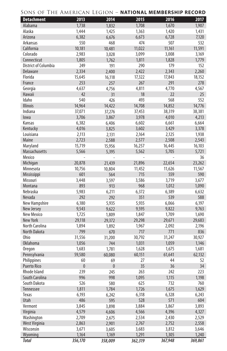| SONS OF THE AMERICAN LEGION – <b>National Membership Record</b> |  |  |  |  |
|-----------------------------------------------------------------|--|--|--|--|
|-----------------------------------------------------------------|--|--|--|--|

| <b>Detachment</b>    | 2013         | 2014         | 2015         | 2016         | 2017    |
|----------------------|--------------|--------------|--------------|--------------|---------|
| Alabama              | 1,738        | 1,832        | 1,708        | 1,670        | 1,907   |
| Alaska               | 1,444        | 1,425        | 1,363        | 1,420        | 1,431   |
| Arizona              | 6,382        | 6,676        | 6,673        | 6,728        | 7,120   |
| Arkansas             | 550          | 468          | 474          | 507          | 532     |
| California           | 10,181       | 10,481       | 11,022       | 11,161       | 11,591  |
| Colorado             | 2,983        | 3,028        | 3,099        | 3,008        | 3,169   |
| Connecticut          | 1,805        | 1,762        | 1,811        | 1,828        | 1,779   |
| District of Columbia | 249          | 191          | 290          | 179          | 152     |
| Delaware             | 2,334        | 2,400        | 2,422        | 2,343        | 2,260   |
| Florida              | 15,645       | 16,118       | 17,322       | 17,843       | 18,152  |
| France               | 253          | 257          | 267          | 291          | 278     |
| Georgia              | 4,637        | 4,756        | 4,811        | 4,770        | 4,567   |
| Hawaii               | 42           | 31           | 18           | 22           | 25      |
| Idaho                | 540          | 426          | 493          | 568          | 552     |
| <b>Illinois</b>      | 14,964       | 14,422       | 14,708       | 14,852       | 14,776  |
| Indiana              | 37,071       | 37,276       | 37,453       | 38,319       | 38,381  |
| lowa                 | 3,706        | 3,867        | 3,978        | 4,010        | 4,213   |
| Kansas               | 6,382        | 6,406        | 6,602        | 6,661        | 6,664   |
| Kentucky             | 4,016        | 3,825        | 3,602        | 3,429        | 3,378   |
| Louisiana            | 2,113        | 2,131        | 2,164        | 2.125        | 1,938   |
| Maine                | 2,723        | 2,588        | 2,577        | 2,508        | 2,543   |
| Maryland             | 15,719       | 15,956       | 16,257       | 16,445       | 16,103  |
| <b>Massachusetts</b> | 5,566        | 5,395        | 5,562        | 5,705        | 5,721   |
| Mexico               |              |              |              |              | 36      |
| Michigan             | 20,878       | 21.439       | 21,896       | 22,654       | 23,262  |
| Minnesota            | 10,756       | 10,804       | 11,452       | 11,626       | 11,567  |
| Mississippi          | 601          | 564          | 715          | 559          | 590     |
| Missouri             | 3,448        | 3,597        | 3,586        | 3,719        | 3,677   |
| Montana              | 893          | 913          | 968          | 1,012        | 1,090   |
| Nebraska             | 5,983        | 6,211        | 6,372        | 6,389        | 6,632   |
| Nevada               | 292          | 292          | 351          | 539          | 588     |
| New Hampshire        | 6,180        | 5,935        | 5,935        | 6,066        | 6,197   |
| New Jersey           | 9,543        | 9,622        | 9,595        | 9,822        | 9,763   |
| New Mexico           | 1,725        | 1,809        | 1,847        | 1,709        | 1,690   |
| New York             | 29,118       | 29,372       | 29,298       | 29,671       | 29,683  |
| North Carolina       | 1,894        | 1,892        | 1,967        | 2,092        | 2,196   |
| North Dakota         | 799          | 670          | 717          | 771          | 836     |
| Ohio                 | 31,556       | 31,200       | 30,792       | 31,247       | 30,927  |
| <b>Oklahoma</b>      | 1,056        | 744          | 1,031        | 1,059        | 1,146   |
| Oregon               | 1,683        | 1,781        | 1,628        | 1,675        | 1,681   |
| Pennsylvania         | 59,580       | 60,080       | 60,151       | 61,641       | 62,132  |
| Philippines          | 60           | 69           | 27           | 44           | 52      |
| <b>Puerto Rico</b>   | $\pmb{0}$    | $\pmb{0}$    | 35           | 36           | 34      |
| Rhode Island         | 239          | 245          | 263          | 242          | 223     |
| South Carolina       | 996          | 998          | 1,095        | 1,115        | 1,198   |
| South Dakota         | 526          |              | 625          | 732          | 760     |
| Tennessee            | 1,811        | 580<br>1,784 | 1,726        | 1,675        | 1,629   |
| Texas                | 6,193        |              | 6,318        | 6,328        | 6,243   |
| Utah                 |              | 6,242        |              |              | 604     |
| Vermont              | 486<br>3,845 | 595          | 528<br>3,884 | 571<br>3,867 | 3,893   |
|                      | 4,579        | 3,898        |              |              |         |
| Virginia             |              | 4,606        | 4,566        | 4,396        | 4,327   |
| Washington           | 2,709        | 2,675        | 2,534        | 2,430        | 2,529   |
| West Virginia        | 2,863        | 2,901        | 2,767        | 2,752        | 2,558   |
| Wisconsin<br>Wyoming | 3,671        | 3,605        | 3,683        | 3,812        | 3,646   |
|                      | 1,164        | 1,169        | 1,291        | 1,305        | 1,240   |
| <b>Total</b>         | 356,170      | 358,009      | 362,319      | 367,948      | 369,861 |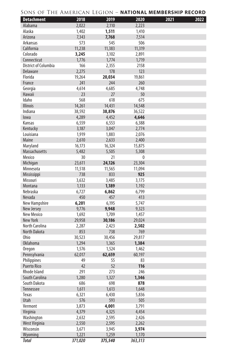| <b>Detachment</b>              | 2018            | 2019     | 2020            | 2021 | 2022 |
|--------------------------------|-----------------|----------|-----------------|------|------|
| Alabama                        | 2,022           | 2,110    | 2,223           |      |      |
| Alaska                         | 1,402           | 1,511    | 1,410           |      |      |
| Arizona                        | 7,343           | 7,768    | 7,514           |      |      |
| Arkansas                       | 573             | 545      | 506             |      |      |
| California                     | 11,238          | 11,383   | 11,319          |      |      |
| Colorado                       | 3,245           | 3,102    | 2,891           |      |      |
| Connecticut                    | 1,776           | 1,774    | 1,719           |      |      |
| District of Columbia           | 166             | 2,355    | 2158            |      |      |
| Delaware                       | 2,275           | 178      | 123             |      |      |
| Florida                        | 19,264          | 20,034   | 19,861          |      |      |
| France                         | 241             | 244      | 260             |      |      |
| Georgia                        | 4,614           | 4,685    | 4,748           |      |      |
| Hawaii                         | 23              | 27       | 50              |      |      |
| Idaho                          | 568             | 618      | 675             |      |      |
| <b>Illinois</b>                | 14,261          | 14,431   | 14,548          |      |      |
| Indiana                        | 38,592          | 38,876   | 36,522          |      |      |
| lowa                           | 4,289           | 4,452    | 4,646           |      |      |
| Kansas                         | 6,559           | 6,553    | 6,388           |      |      |
| Kentucky                       | 3,187           | 3,047    | 2,774           |      |      |
| Louisiana                      | 1,919           | 1,883    | 2,076           |      |      |
| Maine                          | 2,610           | 2,633    | 2,400           |      |      |
| Maryland                       | 16,173          | 16,324   | 15,875          |      |      |
| Massachusetts                  | 5,482           | 5,505    | 5,308           |      |      |
| Mexico                         | 30              | 21       | $\mathbf{0}$    |      |      |
| Michigan                       | 23,611          | 24,126   | 23,304          |      |      |
| Minnesota                      | 11,518          | 11,565   | 11,094          |      |      |
| Mississippi                    | 738             | 833      | 925             |      |      |
| Missouri                       | 3,632           | 3,485    | 3,175           |      |      |
| Montana                        | 1,133           | 1,189    | 1,192           |      |      |
| Nebraska                       | 6,727           | 6,862    | 6,799           |      |      |
| Nevada                         | 450             | 457      | 413             |      |      |
| New Hampshire                  | 6,201           | 6,195    | 5,747           |      |      |
| New Jersey                     | 9,776           | 9,948    | 9,323           |      |      |
| New Mexico                     | 1,692           | 1,709    | 1,457           |      |      |
| <b>New York</b>                | 29,958          | 30,186   | 29,024          |      |      |
| North Carolina                 | 2,287           | 2,423    | 2,502           |      |      |
| <b>North Dakota</b>            | 853             | 738      | 769             |      |      |
| Ohio                           |                 |          |                 |      |      |
| <b>Oklahoma</b>                | 30,523<br>1,294 | 30,456   | 29,817<br>1,384 |      |      |
|                                |                 | 1,365    |                 |      |      |
| <b>Oregon</b>                  | 1,576           | 1,524    | 1,462           |      |      |
| Pennsylvania                   | 62,017<br>49    | 62,659   | 60,197          |      |      |
| Philippines                    | 42              | 55<br>52 | 83<br>116       |      |      |
| <b>Puerto Rico</b>             | 291             | 273      | 246             |      |      |
| Rhode Island                   |                 |          |                 |      |      |
| South Carolina<br>South Dakota | 1,280           | 1,327    | 1,346           |      |      |
|                                | 686             | 698      | 878             |      |      |
| Tennessee                      | 1,611           | 1,613    | 1,648           |      |      |
| Texas                          | 6,321           | 6,430    | 5,836           |      |      |
| Utah                           | 576             | 593      | 505             |      |      |
| Vermont                        | 3,873           | 4,001    | 3,791           |      |      |
| Virginia                       | 4,379           | 4,325    | 4,454           |      |      |
| Washington                     | 2,632           | 2,595    | 2,426           |      |      |
| West Virginia                  | 2,550           | 2,595    | 2,262           |      |      |
| Wisconsin                      | 3,671           | 3,945    | 3,974           |      |      |
| Wyoming                        | 1,221           | 1,259    | 1,170           |      |      |
| <b>Total</b>                   | 371,020         | 375,540  | 363,313         |      |      |